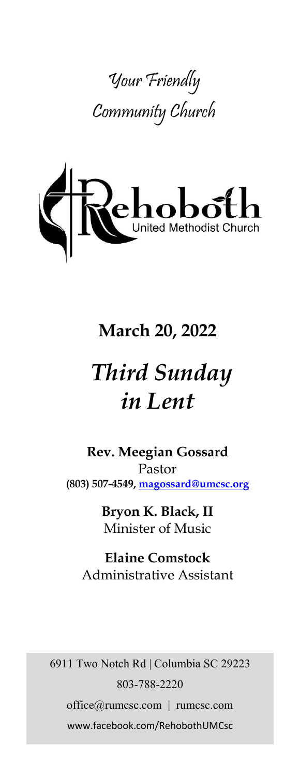



# **March 20, 2022**

# *Third Sunday in Lent*

**Rev. Meegian Gossard** Pastor **(803) 507-4549, magossard@umcsc.org**

> **Bryon K. Black, II** Minister of Music

**Elaine Comstock** Administrative Assistant

6911 Two Notch Rd | Columbia SC 29223 803-788-2220 office@rumcsc.com | rumcsc.com www.facebook.com/RehobothUMCsc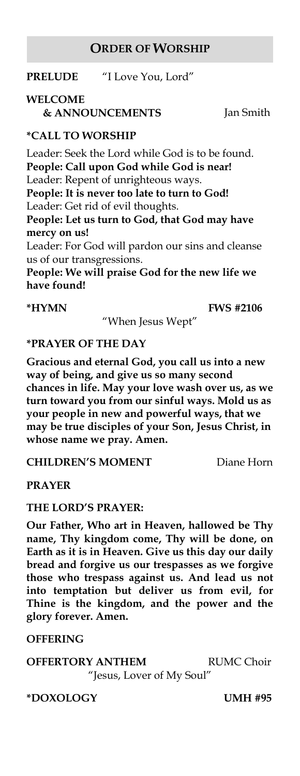#### **ORDER OF WORSHIP**

**PRELUDE** "I Love You, Lord"

# **WELCOME**

 **& ANNOUNCEMENTS** Jan Smith

#### **\*CALL TO WORSHIP**

Leader: Seek the Lord while God is to be found. **People: Call upon God while God is near!** Leader: Repent of unrighteous ways. **People: It is never too late to turn to God!** Leader: Get rid of evil thoughts. **People: Let us turn to God, that God may have mercy on us!** Leader: For God will pardon our sins and cleanse us of our transgressions. **People: We will praise God for the new life we have found!**

#### **\*HYMN FWS #2106**

"When Jesus Wept"

#### **\*PRAYER OF THE DAY**

**Gracious and eternal God, you call us into a new way of being, and give us so many second chances in life. May your love wash over us, as we turn toward you from our sinful ways. Mold us as your people in new and powerful ways, that we may be true disciples of your Son, Jesus Christ, in whose name we pray. Amen.**

#### **CHILDREN'S MOMENT** Diane Horn

**PRAYER**

#### **THE LORD'S PRAYER:**

**Our Father, Who art in Heaven, hallowed be Thy name, Thy kingdom come, Thy will be done, on Earth as it is in Heaven. Give us this day our daily bread and forgive us our trespasses as we forgive those who trespass against us. And lead us not into temptation but deliver us from evil, for Thine is the kingdom, and the power and the glory forever. Amen.** 

#### **OFFERING**

**OFFERTORY ANTHEM RUMC Choir** "Jesus, Lover of My Soul"

**\*DOXOLOGY UMH #95**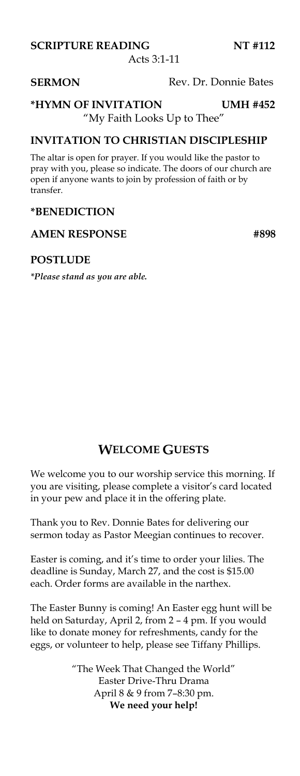Acts 3:1-11

#### **SERMON** Rev. Dr. Donnie Bates

#### **\*HYMN OF INVITATION UMH #452**  "My Faith Looks Up to Thee"

#### **INVITATION TO CHRISTIAN DISCIPLESHIP**

The altar is open for prayer. If you would like the pastor to pray with you, please so indicate. The doors of our church are open if anyone wants to join by profession of faith or by transfer.

#### **\*BENEDICTION**

#### AMEN RESPONSE #898

#### **POSTLUDE**

*\*Please stand as you are able.*

### **WELCOME GUESTS**

We welcome you to our worship service this morning. If you are visiting, please complete a visitor's card located in your pew and place it in the offering plate.

Thank you to Rev. Donnie Bates for delivering our sermon today as Pastor Meegian continues to recover.

Easter is coming, and it's time to order your lilies. The deadline is Sunday, March 27, and the cost is \$15.00 each. Order forms are available in the narthex.

The Easter Bunny is coming! An Easter egg hunt will be held on Saturday, April 2, from 2 – 4 pm. If you would like to donate money for refreshments, candy for the eggs, or volunteer to help, please see Tiffany Phillips.

> "The Week That Changed the World" Easter Drive-Thru Drama April 8 & 9 from 7–8:30 pm. **We need your help!**